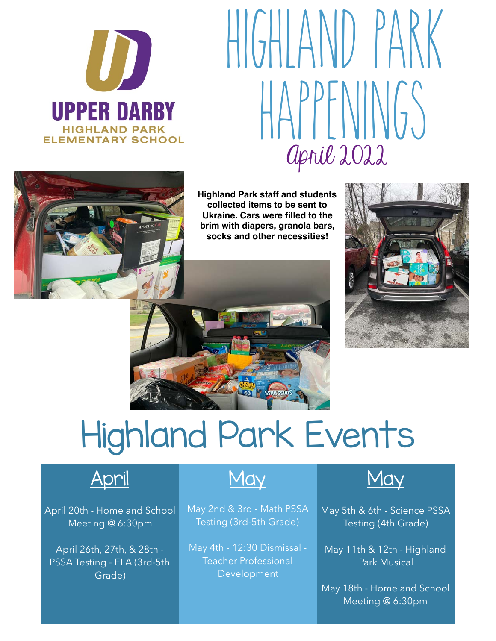

## April 2022 HIGHIAND PARK HAPPFNINGS



 **Highland Park staff and students collected items to be sent to Ukraine. Cars were filled to the brim with diapers, granola bars, socks and other necessities!** 



## Highland Park Events



April 20th - Home and School Meeting @ 6:30pm

April 26th, 27th, & 28th - PSSA Testing - ELA (3rd-5th Grade)

May 2nd & 3rd - Math PSSA May 5th & 6th - Science PSSA Testing (3rd-5th Grade) Testing (4th Grade)

May 4th - 12:30 Dismissal - May 11th & 12th - Highland Teacher Professional Park Musical Development



May 18th - Home and School Meeting @ 6:30pm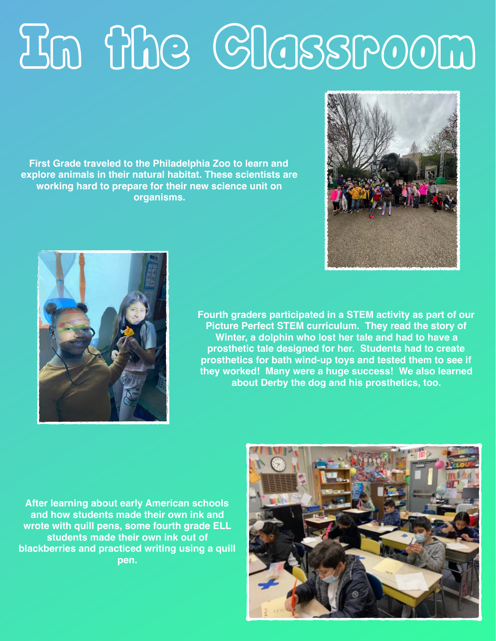## In the Classroom

**First Grade traveled to the Philadelphia Zoo to learn and explore animals in their natural habitat. These scientists are working hard to prepare for their new science unit on organisms.** 





**Fourth graders participated in a STEM activity as part of our Picture Perfect STEM curriculum. They read the story of Winter, a dolphin who lost her tale and had to have a prosthetic tale designed for her. Students had to create prosthetics for bath wind-up toys and tested them to see if they worked! Many were a huge success! We also learned about Derby the dog and his prosthetics, too.** 

**After learning about early American schools and how students made their own ink and wrote with quill pens, some fourth grade ELL students made their own ink out of blackberries and practiced writing using a quill pen.**